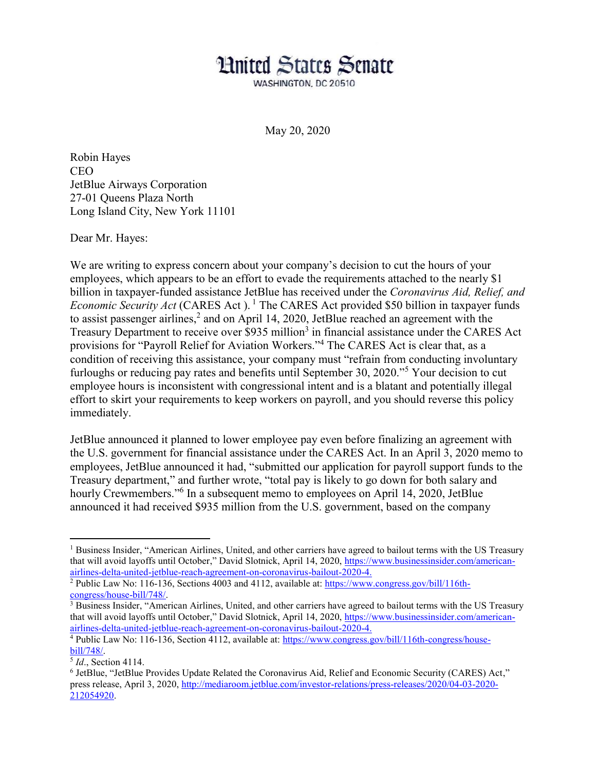## **Hnited States Senate**

WASHINGTON, DC 20510

May 20, 2020

Robin Hayes CEO JetBlue Airways Corporation 27-01 Queens Plaza North Long Island City, New York 11101

Dear Mr. Hayes:

We are writing to express concern about your company's decision to cut the hours of your employees, which appears to be an effort to evade the requirements attached to the nearly \$1 billion in taxpayer-funded assistance JetBlue has received under the *Coronavirus Aid, Relief, and Economic Security Act* (CARES Act).<sup>1</sup> The CARES Act provided \$50 billion in taxpayer funds to assist passenger airlines,<sup>2</sup> and on April 14, 2020, JetBlue reached an agreement with the Treasury Department to receive over \$935 million<sup>3</sup> in financial assistance under the CARES Act provisions for "Payroll Relief for Aviation Workers."<sup>4</sup> The CARES Act is clear that, as a condition of receiving this assistance, your company must "refrain from conducting involuntary furloughs or reducing pay rates and benefits until September 30, 2020.<sup> $\frac{1}{2}$ </sup> Your decision to cut employee hours is inconsistent with congressional intent and is a blatant and potentially illegal effort to skirt your requirements to keep workers on payroll, and you should reverse this policy immediately.

JetBlue announced it planned to lower employee pay even before finalizing an agreement with the U.S. government for financial assistance under the CARES Act. In an April 3, 2020 memo to employees, JetBlue announced it had, "submitted our application for payroll support funds to the Treasury department," and further wrote, "total pay is likely to go down for both salary and hourly Crewmembers.<sup>36</sup> In a subsequent memo to employees on April 14, 2020, JetBlue announced it had received \$935 million from the U.S. government, based on the company

<sup>&</sup>lt;sup>1</sup> Business Insider, "American Airlines, United, and other carriers have agreed to bailout terms with the US Treasury that will avoid layoffs until October," David Slotnick, April 14, 2020, https://www.businessinsider.com/americanairlines-delta-united-jetblue-reach-agreement-on-coronavirus-bailout-2020-4.

<sup>&</sup>lt;sup>2</sup> Public Law No: 116-136, Sections 4003 and 4112, available at: https://www.congress.gov/bill/116th-congress/house-bill/748/.

<sup>&</sup>lt;sup>3</sup> Business Insider, "American Airlines, United, and other carriers have agreed to bailout terms with the US Treasury that will avoid layoffs until October," David Slotnick, April 14, 2020, https://www.businessinsider.com/americanairlines-delta-united-jetblue-reach-agreement-on-coronavirus-bailout-2020-4.

<sup>&</sup>lt;sup>4</sup> Public Law No: 116-136, Section 4112, available at: https://www.congress.gov/bill/116th-congress/housebill/748/.

<sup>5</sup> *Id*., Section 4114.

 $6$  JetBlue, "JetBlue Provides Update Related the Coronavirus Aid, Relief and Economic Security (CARES) Act," press release, April 3, 2020, http://mediaroom.jetblue.com/investor-relations/press-releases/2020/04-03-2020- 212054920.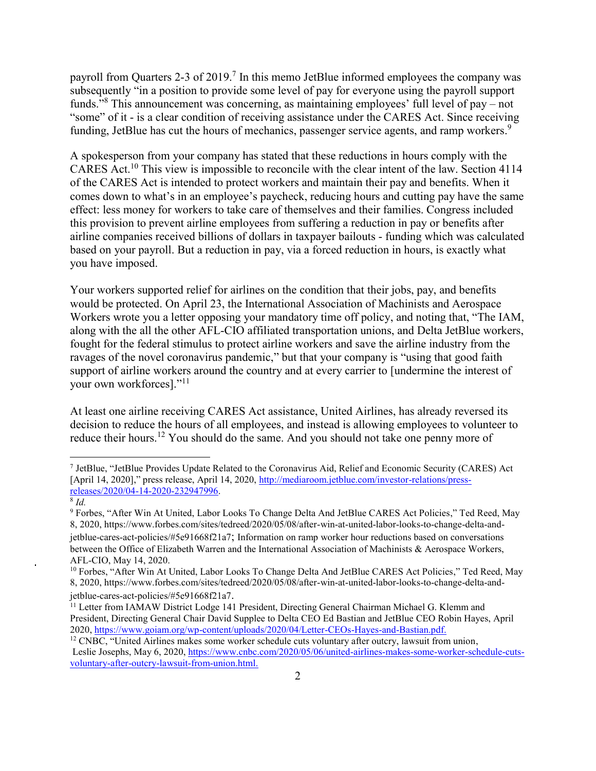payroll from Quarters 2-3 of 2019.<sup>7</sup> In this memo JetBlue informed employees the company was subsequently "in a position to provide some level of pay for everyone using the payroll support funds.<sup> $38$ </sup> This announcement was concerning, as maintaining employees' full level of pay  $-$  not "some" of it - is a clear condition of receiving assistance under the CARES Act. Since receiving funding, JetBlue has cut the hours of mechanics, passenger service agents, and ramp workers.<sup>9</sup>

A spokesperson from your company has stated that these reductions in hours comply with the CARES Act.<sup>10</sup> This view is impossible to reconcile with the clear intent of the law. Section 4114 of the CARES Act is intended to protect workers and maintain their pay and benefits. When it comes down to what's in an employee's paycheck, reducing hours and cutting pay have the same effect: less money for workers to take care of themselves and their families. Congress included this provision to prevent airline employees from suffering a reduction in pay or benefits after airline companies received billions of dollars in taxpayer bailouts - funding which was calculated based on your payroll. But a reduction in pay, via a forced reduction in hours, is exactly what you have imposed.

Your workers supported relief for airlines on the condition that their jobs, pay, and benefits would be protected. On April 23, the International Association of Machinists and Aerospace Workers wrote you a letter opposing your mandatory time off policy, and noting that, "The IAM, along with the all the other AFL-CIO affiliated transportation unions, and Delta JetBlue workers, fought for the federal stimulus to protect airline workers and save the airline industry from the ravages of the novel coronavirus pandemic," but that your company is "using that good faith support of airline workers around the country and at every carrier to [undermine the interest of your own workforces]."<sup>11</sup>

At least one airline receiving CARES Act assistance, United Airlines, has already reversed its decision to reduce the hours of all employees, and instead is allowing employees to volunteer to reduce their hours.<sup>12</sup> You should do the same. And you should not take one penny more of

<sup>&</sup>lt;sup>7</sup> JetBlue, "JetBlue Provides Update Related to the Coronavirus Aid, Relief and Economic Security (CARES) Act [April 14, 2020]," press release, April 14, 2020, http://mediaroom.jetblue.com/investor-relations/pressreleases/2020/04-14-2020-232947996. 8 *Id.*

<sup>&</sup>lt;sup>9</sup> Forbes, "After Win At United, Labor Looks To Change Delta And JetBlue CARES Act Policies," Ted Reed, May 8, 2020, https://www.forbes.com/sites/tedreed/2020/05/08/after-win-at-united-labor-looks-to-change-delta-andjetblue-cares-act-policies/#5e91668f21a7; Information on ramp worker hour reductions based on conversations between the Office of Elizabeth Warren and the International Association of Machinists & Aerospace Workers, AFL-CIO, May 14, 2020.

 $10$  Forbes, "After Win At United, Labor Looks To Change Delta And JetBlue CARES Act Policies," Ted Reed, May 8, 2020, https://www.forbes.com/sites/tedreed/2020/05/08/after-win-at-united-labor-looks-to-change-delta-andjetblue-cares-act-policies/#5e91668f21a7.

<sup>&</sup>lt;sup>11</sup> Letter from IAMAW District Lodge 141 President, Directing General Chairman Michael G. Klemm and President, Directing General Chair David Supplee to Delta CEO Ed Bastian and JetBlue CEO Robin Hayes, April 2020, https://www.goiam.org/wp-content/uploads/2020/04/Letter-CEOs-Hayes-and-Bastian.pdf.

<sup>&</sup>lt;sup>12</sup> CNBC, "United Airlines makes some worker schedule cuts voluntary after outcry, lawsuit from union, Leslie Josephs, May 6, 2020, https://www.cnbc.com/2020/05/06/united-airlines-makes-some-worker-schedule-cutsvoluntary-after-outcry-lawsuit-from-union.html.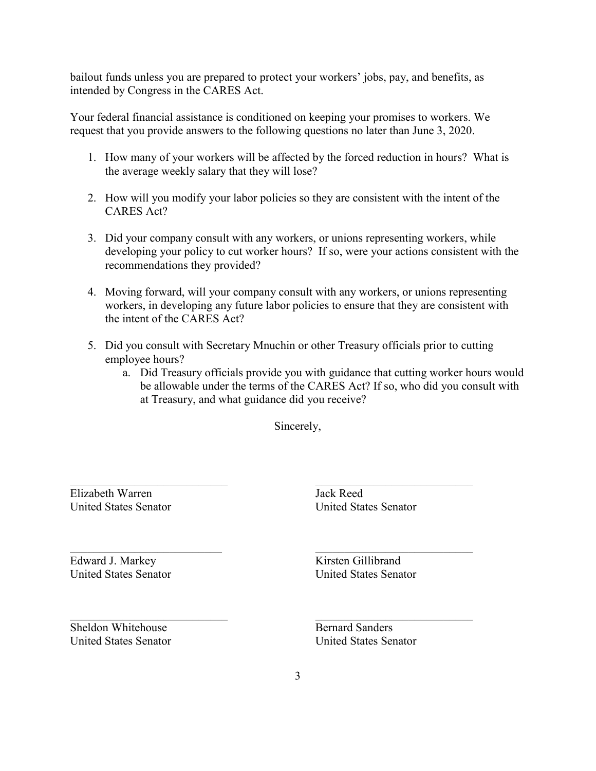bailout funds unless you are prepared to protect your workers' jobs, pay, and benefits, as intended by Congress in the CARES Act.

Your federal financial assistance is conditioned on keeping your promises to workers. We request that you provide answers to the following questions no later than June 3, 2020.

- 1. How many of your workers will be affected by the forced reduction in hours? What is the average weekly salary that they will lose?
- 2. How will you modify your labor policies so they are consistent with the intent of the CARES Act?
- 3. Did your company consult with any workers, or unions representing workers, while developing your policy to cut worker hours? If so, were your actions consistent with the recommendations they provided?
- 4. Moving forward, will your company consult with any workers, or unions representing workers, in developing any future labor policies to ensure that they are consistent with the intent of the CARES Act?
- 5. Did you consult with Secretary Mnuchin or other Treasury officials prior to cutting employee hours?
	- a. Did Treasury officials provide you with guidance that cutting worker hours would be allowable under the terms of the CARES Act? If so, who did you consult with at Treasury, and what guidance did you receive?

Sincerely,

Elizabeth Warren United States Senator

 $\mathcal{L}_\text{max}$  , where  $\mathcal{L}_\text{max}$  , we have the set of  $\mathcal{L}_\text{max}$ 

 $\mathcal{L}_\text{max}$  , where  $\mathcal{L}_\text{max}$  and  $\mathcal{L}_\text{max}$ 

 $\mathcal{L}_\text{max}$  , where  $\mathcal{L}_\text{max}$  , we have the set of  $\mathcal{L}_\text{max}$ 

Edward J. Markey United States Senator

Jack Reed United States Senator

 $\mathcal{L}_\text{max}$  , where  $\mathcal{L}_\text{max}$  , we have the set of  $\mathcal{L}_\text{max}$ 

 $\mathcal{L}_\text{max}$  , where  $\mathcal{L}_\text{max}$  , we have the set of  $\mathcal{L}_\text{max}$ 

 $\mathcal{L}_\text{max}$  , where  $\mathcal{L}_\text{max}$  , we have the set of  $\mathcal{L}_\text{max}$ 

Kirsten Gillibrand United States Senator

Sheldon Whitehouse United States Senator Bernard Sanders United States Senator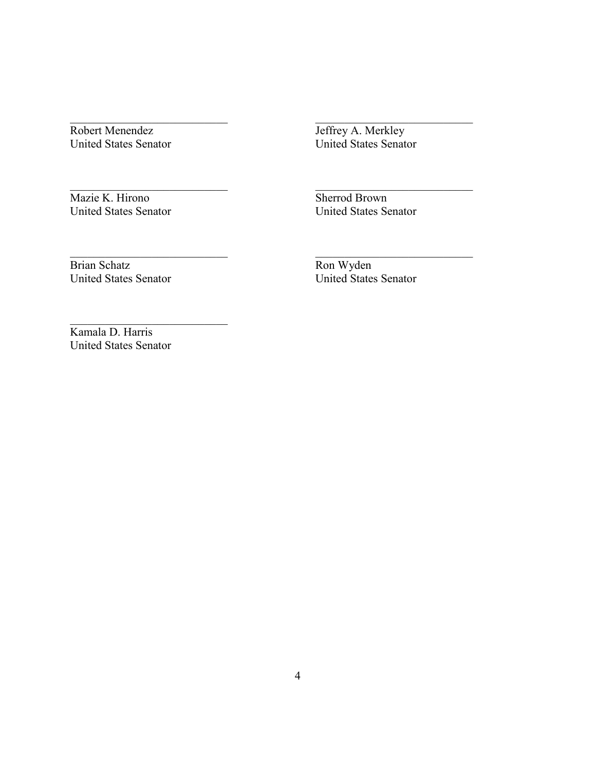Robert Menendez United States Senator

 $\mathcal{L}_\text{max}$ 

 $\mathcal{L}_\text{max}$ 

 $\mathcal{L}_\text{max}$ 

 $\mathcal{L}_\text{max}$ 

Jeffrey A. Merkley United States Senator

 $\mathcal{L}_\text{max}$ 

 $\mathcal{L}_\text{max}$ 

 $\mathcal{L}_\text{max}$ 

Mazie K. Hirono United States Senator Sherrod Brown United States Senator

Brian Schatz United States Senator Ron Wyden United States Senator

Kamala D. Harris United States Senator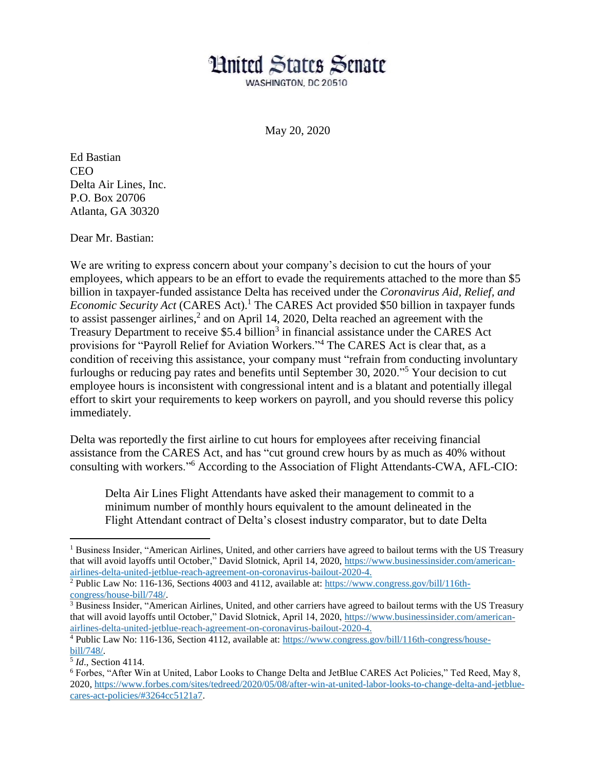## **Hnited States Senate**

WASHINGTON, DC 20510

May 20, 2020

Ed Bastian **CEO** Delta Air Lines, Inc. P.O. Box 20706 Atlanta, GA 30320

Dear Mr. Bastian:

We are writing to express concern about your company's decision to cut the hours of your employees, which appears to be an effort to evade the requirements attached to the more than \$5 billion in taxpayer-funded assistance Delta has received under the *Coronavirus Aid, Relief, and Economic Security Act* (CARES Act). <sup>1</sup> The CARES Act provided \$50 billion in taxpayer funds to assist passenger airlines,<sup>2</sup> and on April 14, 2020, Delta reached an agreement with the Treasury Department to receive \$5.4 billion<sup>3</sup> in financial assistance under the CARES Act provisions for "Payroll Relief for Aviation Workers."<sup>4</sup> The CARES Act is clear that, as a condition of receiving this assistance, your company must "refrain from conducting involuntary furloughs or reducing pay rates and benefits until September 30, 2020."<sup>5</sup> Your decision to cut employee hours is inconsistent with congressional intent and is a blatant and potentially illegal effort to skirt your requirements to keep workers on payroll, and you should reverse this policy immediately.

Delta was reportedly the first airline to cut hours for employees after receiving financial assistance from the CARES Act, and has "cut ground crew hours by as much as 40% without consulting with workers."<sup>6</sup> According to the Association of Flight Attendants-CWA, AFL-CIO:

Delta Air Lines Flight Attendants have asked their management to commit to a minimum number of monthly hours equivalent to the amount delineated in the Flight Attendant contract of Delta's closest industry comparator, but to date Delta

 $\overline{a}$ 

<sup>&</sup>lt;sup>1</sup> Business Insider, "American Airlines, United, and other carriers have agreed to bailout terms with the US Treasury that will avoid layoffs until October," David Slotnick, April 14, 2020, [https://www.businessinsider.com/american](https://www.businessinsider.com/american-airlines-delta-united-jetblue-reach-agreement-on-coronavirus-bailout-2020-4)[airlines-delta-united-jetblue-reach-agreement-on-coronavirus-bailout-2020-4.](https://www.businessinsider.com/american-airlines-delta-united-jetblue-reach-agreement-on-coronavirus-bailout-2020-4)

<sup>2</sup> Public Law No: 116-136, Sections 4003 and 4112, available at: [https://www.congress.gov/bill/116th](https://www.congress.gov/bill/116th-congress/house-bill/748/)[congress/house-bill/748/.](https://www.congress.gov/bill/116th-congress/house-bill/748/) 

<sup>&</sup>lt;sup>3</sup> Business Insider, "American Airlines, United, and other carriers have agreed to bailout terms with the US Treasury that will avoid layoffs until October," David Slotnick, April 14, 2020, [https://www.businessinsider.com/american](https://www.businessinsider.com/american-airlines-delta-united-jetblue-reach-agreement-on-coronavirus-bailout-2020-4)[airlines-delta-united-jetblue-reach-agreement-on-coronavirus-bailout-2020-4.](https://www.businessinsider.com/american-airlines-delta-united-jetblue-reach-agreement-on-coronavirus-bailout-2020-4)

<sup>4</sup> Public Law No: 116-136, Section 4112, available at: [https://www.congress.gov/bill/116th-congress/house](https://www.congress.gov/bill/116th-congress/house-bill/748/)[bill/748/.](https://www.congress.gov/bill/116th-congress/house-bill/748/)

<sup>5</sup> *Id*., Section 4114.

<sup>6</sup> Forbes, "After Win at United, Labor Looks to Change Delta and JetBlue CARES Act Policies," Ted Reed, May 8, 2020, [https://www.forbes.com/sites/tedreed/2020/05/08/after-win-at-united-labor-looks-to-change-delta-and-jetblue](https://www.forbes.com/sites/tedreed/2020/05/08/after-win-at-united-labor-looks-to-change-delta-and-jetblue-cares-act-policies/#3264cc5121a7)[cares-act-policies/#3264cc5121a7.](https://www.forbes.com/sites/tedreed/2020/05/08/after-win-at-united-labor-looks-to-change-delta-and-jetblue-cares-act-policies/#3264cc5121a7)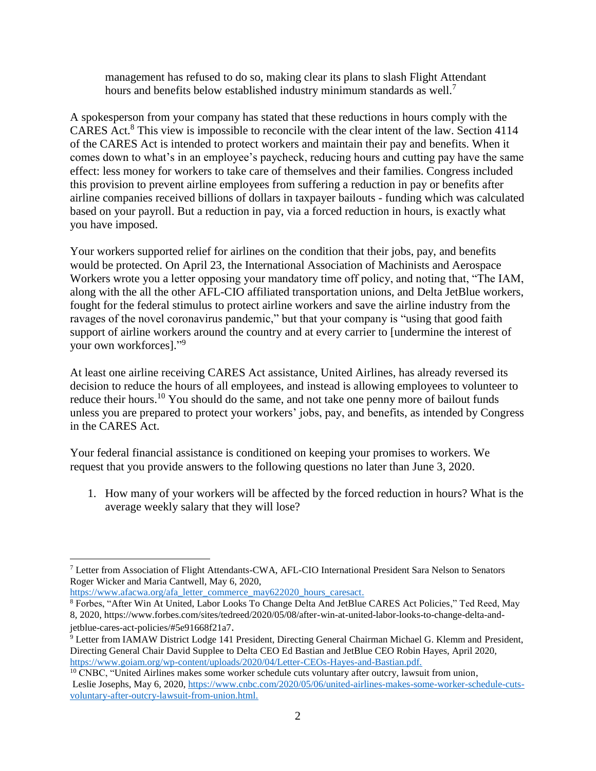management has refused to do so, making clear its plans to slash Flight Attendant hours and benefits below established industry minimum standards as well.<sup>7</sup>

A spokesperson from your company has stated that these reductions in hours comply with the CARES Act. <sup>8</sup> This view is impossible to reconcile with the clear intent of the law. Section 4114 of the CARES Act is intended to protect workers and maintain their pay and benefits. When it comes down to what's in an employee's paycheck, reducing hours and cutting pay have the same effect: less money for workers to take care of themselves and their families. Congress included this provision to prevent airline employees from suffering a reduction in pay or benefits after airline companies received billions of dollars in taxpayer bailouts - funding which was calculated based on your payroll. But a reduction in pay, via a forced reduction in hours, is exactly what you have imposed.

Your workers supported relief for airlines on the condition that their jobs, pay, and benefits would be protected. On April 23, the International Association of Machinists and Aerospace Workers wrote you a letter opposing your mandatory time off policy, and noting that, "The IAM, along with the all the other AFL-CIO affiliated transportation unions, and Delta JetBlue workers, fought for the federal stimulus to protect airline workers and save the airline industry from the ravages of the novel coronavirus pandemic," but that your company is "using that good faith support of airline workers around the country and at every carrier to [undermine the interest of your own workforces]." 9

At least one airline receiving CARES Act assistance, United Airlines, has already reversed its decision to reduce the hours of all employees, and instead is allowing employees to volunteer to reduce their hours.<sup>10</sup> You should do the same, and not take one penny more of bailout funds unless you are prepared to protect your workers' jobs, pay, and benefits, as intended by Congress in the CARES Act.

Your federal financial assistance is conditioned on keeping your promises to workers. We request that you provide answers to the following questions no later than June 3, 2020.

1. How many of your workers will be affected by the forced reduction in hours? What is the average weekly salary that they will lose?

 $\overline{a}$ 

<sup>7</sup> Letter from Association of Flight Attendants-CWA, AFL-CIO International President Sara Nelson to Senators Roger Wicker and Maria Cantwell, May 6, 2020,

[https://www.afacwa.org/afa\\_letter\\_commerce\\_may622020\\_hours\\_caresact.](https://www.afacwa.org/afa_letter_commerce_may622020_hours_caresact)

<sup>8</sup> Forbes, "After Win At United, Labor Looks To Change Delta And JetBlue CARES Act Policies," Ted Reed, May 8, 2020, [https://www.forbes.com/sites/tedreed/2020/05/08/after-win-at-united-labor-looks-to-change-delta-and](https://www.forbes.com/sites/tedreed/2020/05/08/after-win-at-united-labor-looks-to-change-delta-and-jetblue-cares-act-policies/#5e91668f21a7)[jetblue-cares-act-policies/#5e91668f21a7](https://www.forbes.com/sites/tedreed/2020/05/08/after-win-at-united-labor-looks-to-change-delta-and-jetblue-cares-act-policies/#5e91668f21a7).

<sup>9</sup> Letter from IAMAW District Lodge 141 President, Directing General Chairman Michael G. Klemm and President, Directing General Chair David Supplee to Delta CEO Ed Bastian and JetBlue CEO Robin Hayes, April 2020, [https://www.goiam.org/wp-content/uploads/2020/04/Letter-CEOs-Hayes-and-Bastian.pdf.](https://www.goiam.org/wp-content/uploads/2020/04/Letter-CEOs-Hayes-and-Bastian.pdf)

<sup>&</sup>lt;sup>10</sup> CNBC, "United Airlines makes some worker schedule cuts voluntary after outcry, lawsuit from union, Leslie Josephs, May 6, 2020, [https://www.cnbc.com/2020/05/06/united-airlines-makes-some-worker-schedule-cuts](https://www.cnbc.com/2020/05/06/united-airlines-makes-some-worker-schedule-cuts-voluntary-after-outcry-lawsuit-from-union.html)[voluntary-after-outcry-lawsuit-from-union.html.](https://www.cnbc.com/2020/05/06/united-airlines-makes-some-worker-schedule-cuts-voluntary-after-outcry-lawsuit-from-union.html)